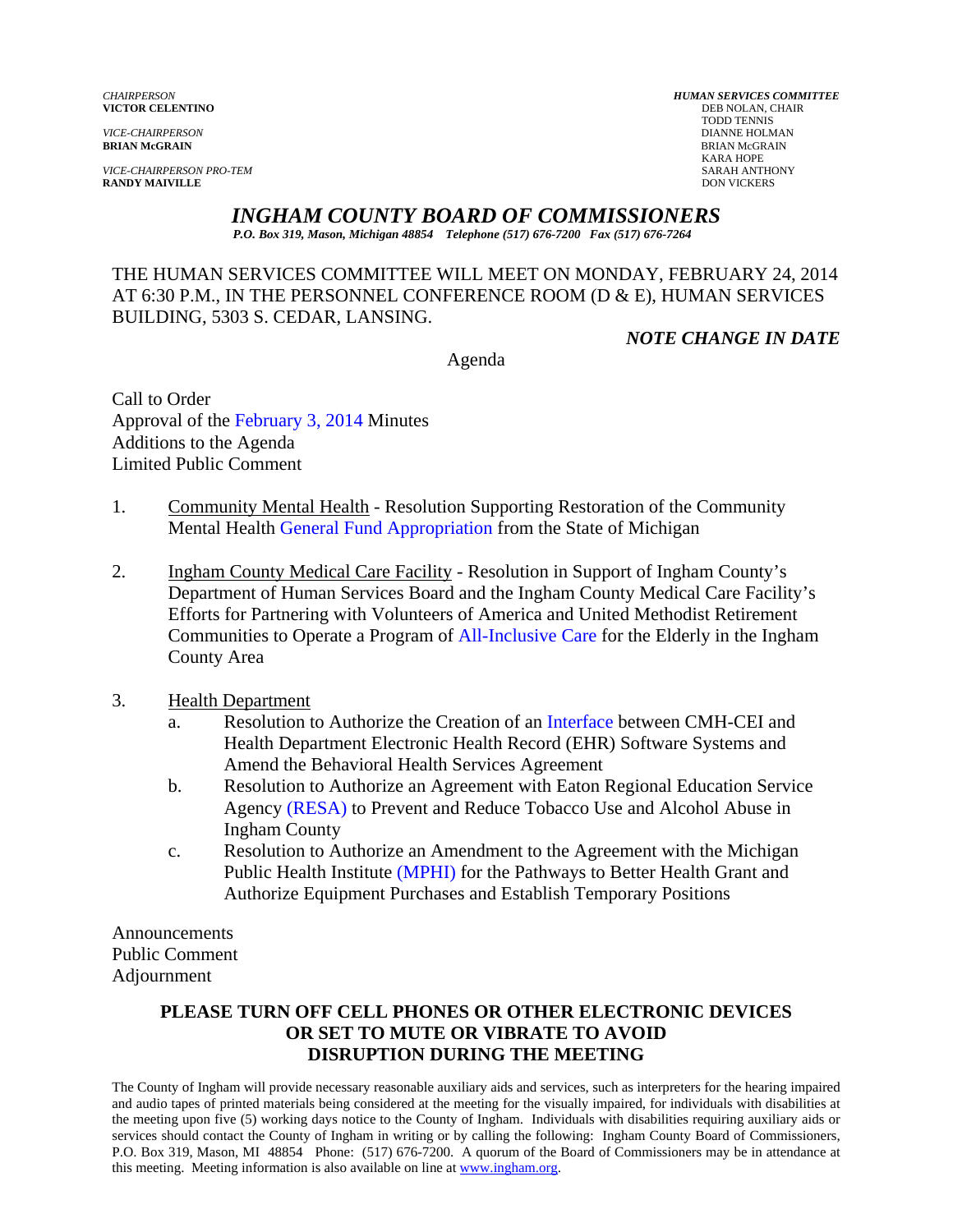*VICE-CHAIRPERSON PRO-TEM* SARAH ANTHONY **RANDY MAIVILLE** DON VICKERS

*CHAIRPERSON HUMAN SERVICES COMMITTEE* **VICTOR CELENTINO** DEB NOLAN, C<br>
TODD TENNIS TODD TENNIS *VICE-CHAIRPERSON* DIANNE HOLMAN **BRIAN McGRAIN** BRIAN McGRAIN KARA HOPE

# *INGHAM COUNTY BOARD OF COMMISSIONERS*

*P.O. Box 319, Mason, Michigan 48854 Telephone (517) 676-7200 Fax (517) 676-7264*

THE HUMAN SERVICES COMMITTEE WILL MEET ON MONDAY, FEBRUARY 24, 2014 AT 6:30 P.M., IN THE PERSONNEL CONFERENCE ROOM (D & E), HUMAN SERVICES BUILDING, 5303 S. CEDAR, LANSING.

*NOTE CHANGE IN DATE* 

Agenda

Call to Order Approva[l of](#page-1-0) [the February 3, 2014 Minutes](#page-5-0)  Additions to the Agenda Limited Public Comment

- 1. Community Mental Health Resolution Supporting Restoration of the Community Mental Hea[lth General Fund Appropriation from the S](#page-7-0)tate of Michigan
- 2. Ingham County Medical Care Facility Resolution in Support of Ingham County's Department of Human Services Board and the Ingham County Medical Care Facility's Efforts for Partnering with Volunteers of America and United Methodist Retirement Communities to Operate a Progra[m of All-Inclusive Care for the Elderly in t](#page-8-0)he Ingham County Area
- 3. Health Department
	- a. Resolution to Authorize the Creation of [an Interface between CMH-C](#page-10-0)EI and Health Department Electronic Health Record (EHR) Software Systems and Amend the Behavioral Health Services Agreement
	- b. Resolution to Authorize an Agreement with Eaton Regional Education Service Age[ncy \(RESA\) to Preve](#page-13-0)nt and Reduce Tobacco Use and Alcohol Abuse in Ingham County
	- c. Resolution to Authorize an Amendment to the Agreement with the Michigan Public Health I[nstitute \(MPHI\) for the Pathways](#page-15-0) to Better Health Grant and Authorize Equipment Purchases and Establish Temporary Positions

Announcements Public Comment Adjournment

### **PLEASE TURN OFF CELL PHONES OR OTHER ELECTRONIC DEVICES OR SET TO MUTE OR VIBRATE TO AVOID DISRUPTION DURING THE MEETING**

The County of Ingham will provide necessary reasonable auxiliary aids and services, such as interpreters for the hearing impaired and audio tapes of printed materials being considered at the meeting for the visually impaired, for individuals with disabilities at the meeting upon five (5) working days notice to the County of Ingham. Individuals with disabilities requiring auxiliary aids or services should contact the County of Ingham in writing or by calling the following: Ingham County Board of Commissioners, P.O. Box 319, Mason, MI 48854 Phone: (517) 676-7200. A quorum of the Board of Commissioners may be in attendance at this meeting. Meeting information is also available on line at www.ingham.org.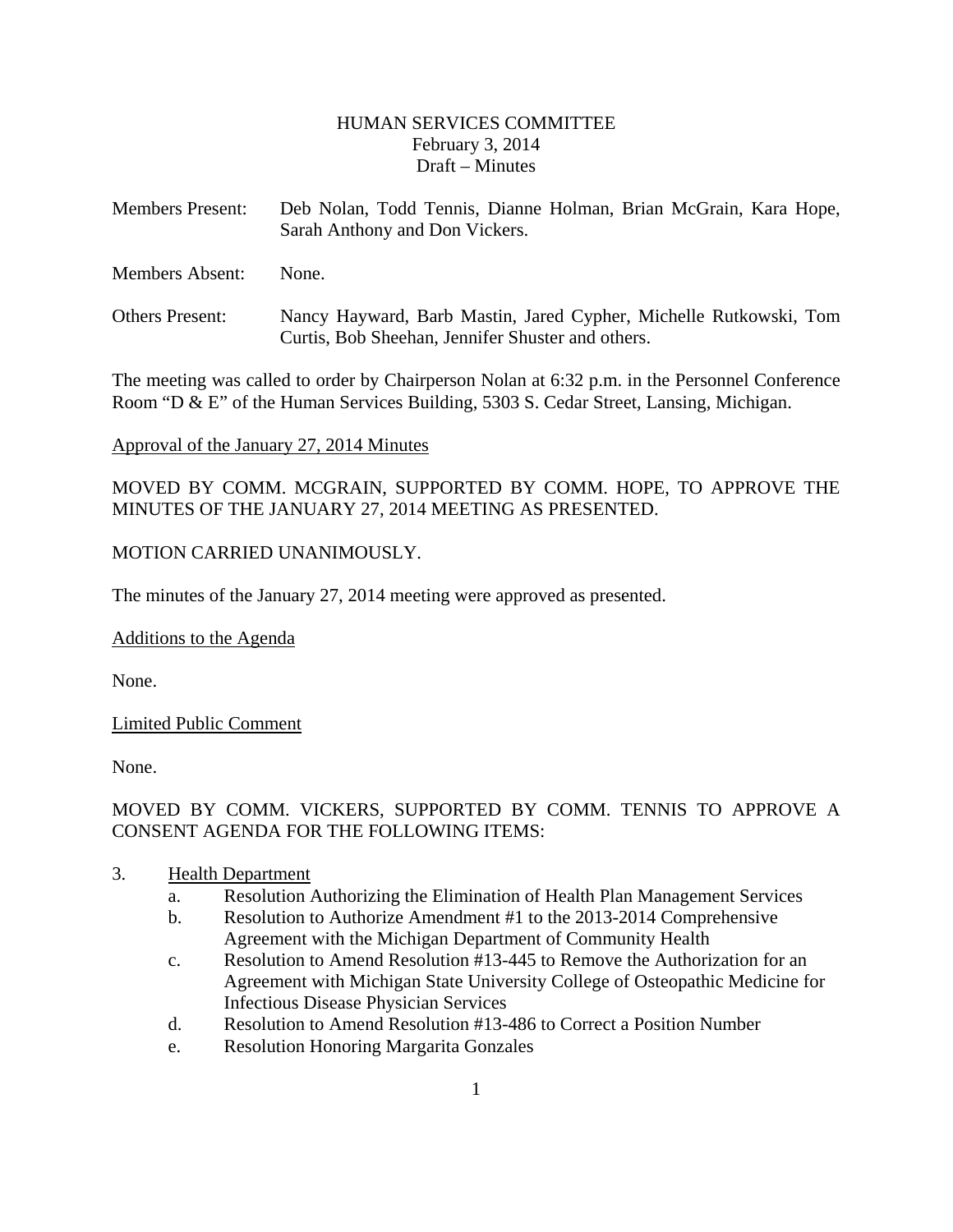### HUMAN SERVICES COMMITTEE February 3, 2014 Draft – Minutes

- <span id="page-1-0"></span>Members Present: Deb Nolan, Todd Tennis, Dianne Holman, Brian McGrain, Kara Hope, Sarah Anthony and Don Vickers.
- Members Absent: None.
- Others Present: Nancy Hayward, Barb Mastin, Jared Cypher, Michelle Rutkowski, Tom Curtis, Bob Sheehan, Jennifer Shuster and others.

The meeting was called to order by Chairperson Nolan at 6:32 p.m. in the Personnel Conference Room "D & E" of the Human Services Building, 5303 S. Cedar Street, Lansing, Michigan.

#### Approval of the January 27, 2014 Minutes

MOVED BY COMM. MCGRAIN, SUPPORTED BY COMM. HOPE, TO APPROVE THE MINUTES OF THE JANUARY 27, 2014 MEETING AS PRESENTED.

### MOTION CARRIED UNANIMOUSLY.

The minutes of the January 27, 2014 meeting were approved as presented.

Additions to the Agenda

None.

### Limited Public Comment

None.

# MOVED BY COMM. VICKERS, SUPPORTED BY COMM. TENNIS TO APPROVE A CONSENT AGENDA FOR THE FOLLOWING ITEMS:

- 3. Health Department
	- a. Resolution Authorizing the Elimination of Health Plan Management Services
	- b. Resolution to Authorize Amendment #1 to the 2013-2014 Comprehensive Agreement with the Michigan Department of Community Health
	- c. Resolution to Amend Resolution #13-445 to Remove the Authorization for an Agreement with Michigan State University College of Osteopathic Medicine for Infectious Disease Physician Services
	- d. Resolution to Amend Resolution #13-486 to Correct a Position Number
	- e. Resolution Honoring Margarita Gonzales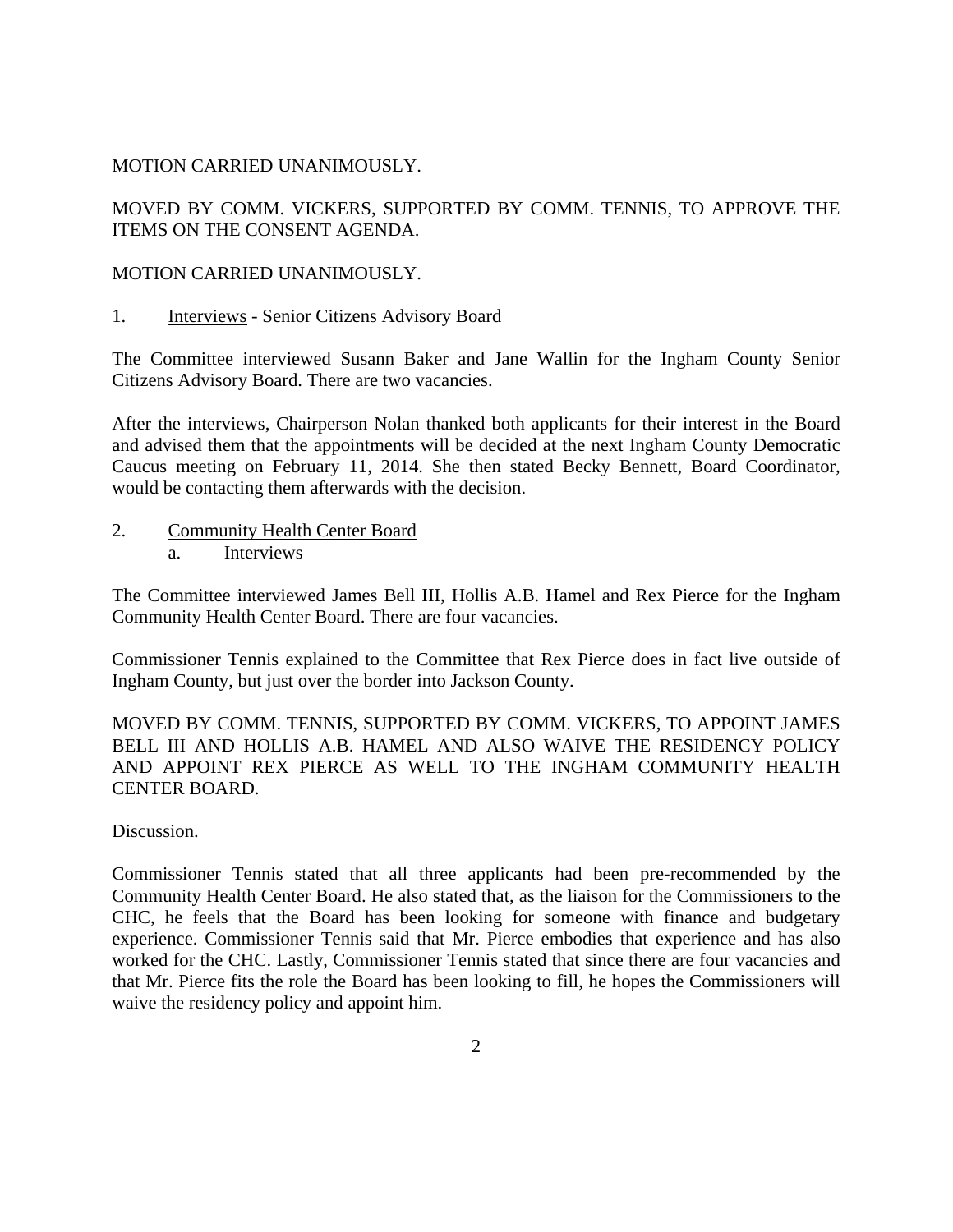### MOTION CARRIED UNANIMOUSLY.

MOVED BY COMM. VICKERS, SUPPORTED BY COMM. TENNIS, TO APPROVE THE ITEMS ON THE CONSENT AGENDA.

### MOTION CARRIED UNANIMOUSLY.

1. Interviews - Senior Citizens Advisory Board

The Committee interviewed Susann Baker and Jane Wallin for the Ingham County Senior Citizens Advisory Board. There are two vacancies.

After the interviews, Chairperson Nolan thanked both applicants for their interest in the Board and advised them that the appointments will be decided at the next Ingham County Democratic Caucus meeting on February 11, 2014. She then stated Becky Bennett, Board Coordinator, would be contacting them afterwards with the decision.

2. Community Health Center Board a. Interviews

The Committee interviewed James Bell III, Hollis A.B. Hamel and Rex Pierce for the Ingham Community Health Center Board. There are four vacancies.

Commissioner Tennis explained to the Committee that Rex Pierce does in fact live outside of Ingham County, but just over the border into Jackson County.

MOVED BY COMM. TENNIS, SUPPORTED BY COMM. VICKERS, TO APPOINT JAMES BELL III AND HOLLIS A.B. HAMEL AND ALSO WAIVE THE RESIDENCY POLICY AND APPOINT REX PIERCE AS WELL TO THE INGHAM COMMUNITY HEALTH CENTER BOARD.

Discussion.

Commissioner Tennis stated that all three applicants had been pre-recommended by the Community Health Center Board. He also stated that, as the liaison for the Commissioners to the CHC, he feels that the Board has been looking for someone with finance and budgetary experience. Commissioner Tennis said that Mr. Pierce embodies that experience and has also worked for the CHC. Lastly, Commissioner Tennis stated that since there are four vacancies and that Mr. Pierce fits the role the Board has been looking to fill, he hopes the Commissioners will waive the residency policy and appoint him.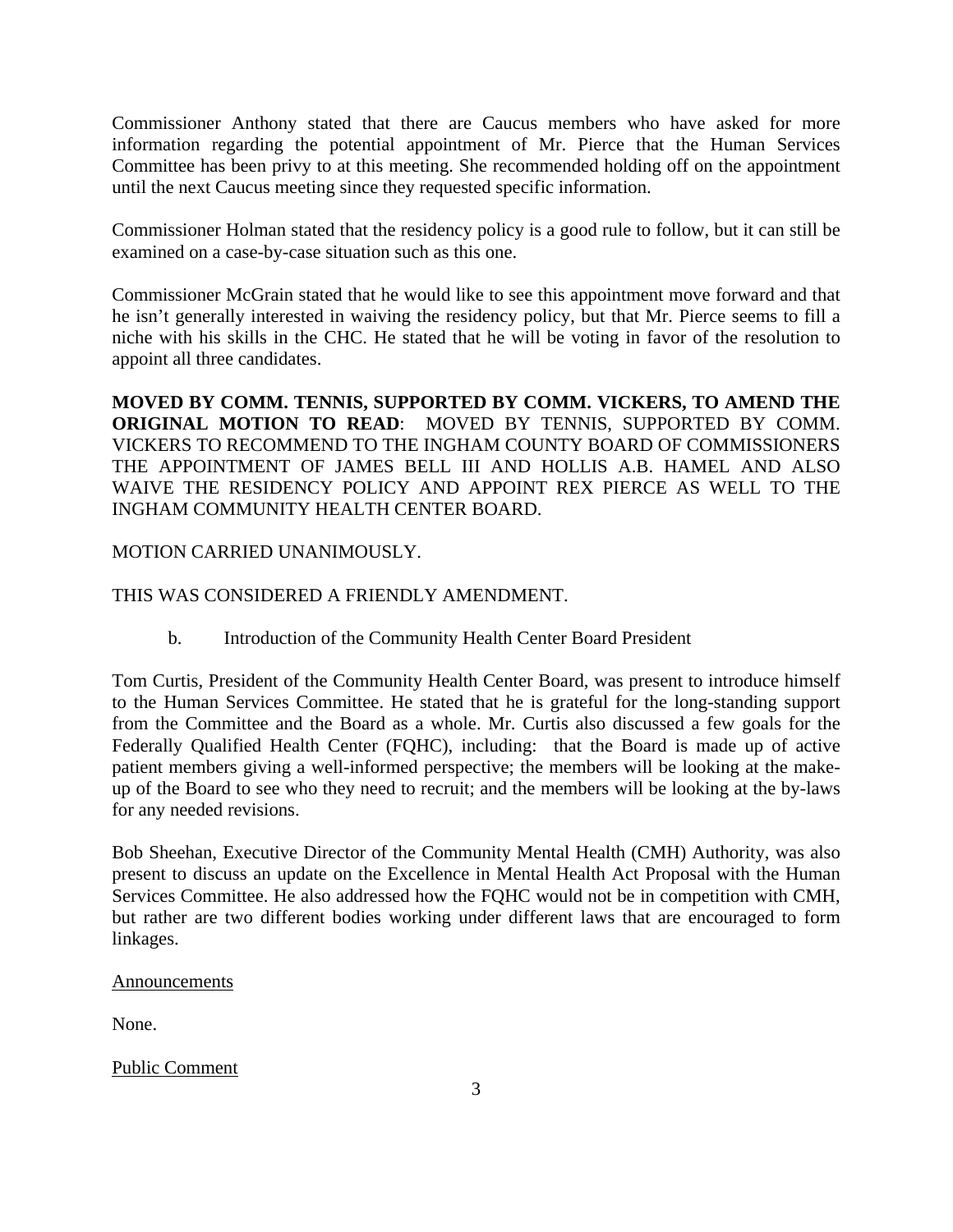Commissioner Anthony stated that there are Caucus members who have asked for more information regarding the potential appointment of Mr. Pierce that the Human Services Committee has been privy to at this meeting. She recommended holding off on the appointment until the next Caucus meeting since they requested specific information.

Commissioner Holman stated that the residency policy is a good rule to follow, but it can still be examined on a case-by-case situation such as this one.

Commissioner McGrain stated that he would like to see this appointment move forward and that he isn't generally interested in waiving the residency policy, but that Mr. Pierce seems to fill a niche with his skills in the CHC. He stated that he will be voting in favor of the resolution to appoint all three candidates.

**MOVED BY COMM. TENNIS, SUPPORTED BY COMM. VICKERS, TO AMEND THE ORIGINAL MOTION TO READ**: MOVED BY TENNIS, SUPPORTED BY COMM. VICKERS TO RECOMMEND TO THE INGHAM COUNTY BOARD OF COMMISSIONERS THE APPOINTMENT OF JAMES BELL III AND HOLLIS A.B. HAMEL AND ALSO WAIVE THE RESIDENCY POLICY AND APPOINT REX PIERCE AS WELL TO THE INGHAM COMMUNITY HEALTH CENTER BOARD.

### MOTION CARRIED UNANIMOUSLY.

### THIS WAS CONSIDERED A FRIENDLY AMENDMENT.

b. Introduction of the Community Health Center Board President

Tom Curtis, President of the Community Health Center Board, was present to introduce himself to the Human Services Committee. He stated that he is grateful for the long-standing support from the Committee and the Board as a whole. Mr. Curtis also discussed a few goals for the Federally Qualified Health Center (FQHC), including: that the Board is made up of active patient members giving a well-informed perspective; the members will be looking at the makeup of the Board to see who they need to recruit; and the members will be looking at the by-laws for any needed revisions.

Bob Sheehan, Executive Director of the Community Mental Health (CMH) Authority, was also present to discuss an update on the Excellence in Mental Health Act Proposal with the Human Services Committee. He also addressed how the FQHC would not be in competition with CMH, but rather are two different bodies working under different laws that are encouraged to form linkages.

#### **Announcements**

None.

### Public Comment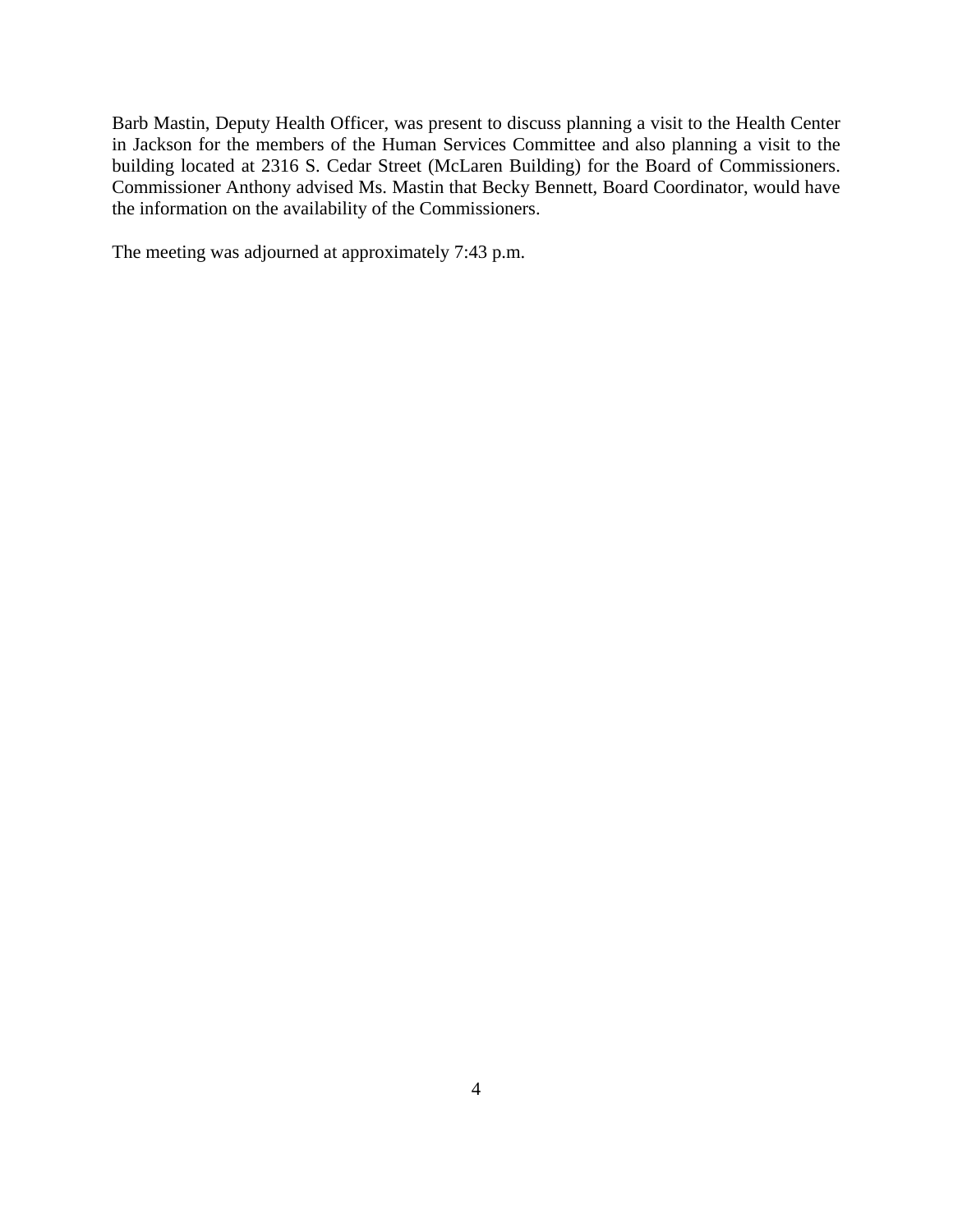Barb Mastin, Deputy Health Officer, was present to discuss planning a visit to the Health Center in Jackson for the members of the Human Services Committee and also planning a visit to the building located at 2316 S. Cedar Street (McLaren Building) for the Board of Commissioners. Commissioner Anthony advised Ms. Mastin that Becky Bennett, Board Coordinator, would have the information on the availability of the Commissioners.

The meeting was adjourned at approximately 7:43 p.m.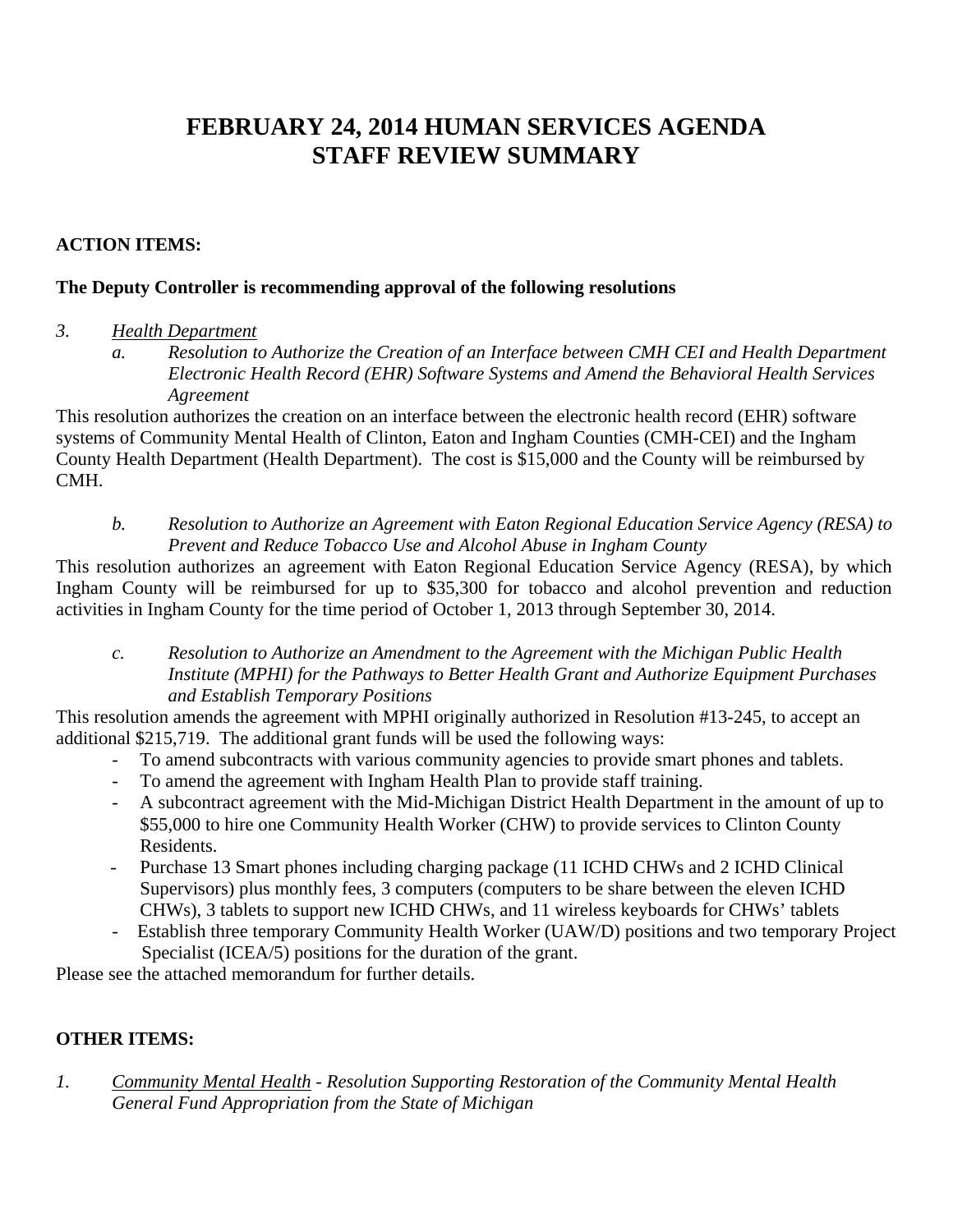# <span id="page-5-0"></span>**FEBRUARY 24, 2014 HUMAN SERVICES AGENDA STAFF REVIEW SUMMARY**

# **ACTION ITEMS:**

### **The Deputy Controller is recommending approval of the following resolutions**

### *3. Health Department*

*a. Resolution to Authorize the Creation of an Interface between CMH CEI and Health Department Electronic Health Record (EHR) Software Systems and Amend the Behavioral Health Services Agreement* 

This resolution authorizes the creation on an interface between the electronic health record (EHR) software systems of Community Mental Health of Clinton, Eaton and Ingham Counties (CMH-CEI) and the Ingham County Health Department (Health Department). The cost is \$15,000 and the County will be reimbursed by CMH.

*b. Resolution to Authorize an Agreement with Eaton Regional Education Service Agency (RESA) to Prevent and Reduce Tobacco Use and Alcohol Abuse in Ingham County* 

This resolution authorizes an agreement with Eaton Regional Education Service Agency (RESA), by which Ingham County will be reimbursed for up to \$35,300 for tobacco and alcohol prevention and reduction activities in Ingham County for the time period of October 1, 2013 through September 30, 2014.

*c. Resolution to Authorize an Amendment to the Agreement with the Michigan Public Health Institute (MPHI) for the Pathways to Better Health Grant and Authorize Equipment Purchases and Establish Temporary Positions* 

This resolution amends the agreement with MPHI originally authorized in Resolution #13-245, to accept an additional \$215,719. The additional grant funds will be used the following ways:

- To amend subcontracts with various community agencies to provide smart phones and tablets.
- To amend the agreement with Ingham Health Plan to provide staff training.
- A subcontract agreement with the Mid-Michigan District Health Department in the amount of up to \$55,000 to hire one Community Health Worker (CHW) to provide services to Clinton County Residents.
- Purchase 13 Smart phones including charging package (11 ICHD CHWs and 2 ICHD Clinical Supervisors) plus monthly fees, 3 computers (computers to be share between the eleven ICHD CHWs), 3 tablets to support new ICHD CHWs, and 11 wireless keyboards for CHWs' tablets
- Establish three temporary Community Health Worker (UAW/D) positions and two temporary Project Specialist (ICEA/5) positions for the duration of the grant.

Please see the attached memorandum for further details.

# **OTHER ITEMS:**

*1. Community Mental Health - Resolution Supporting Restoration of the Community Mental Health General Fund Appropriation from the State of Michigan*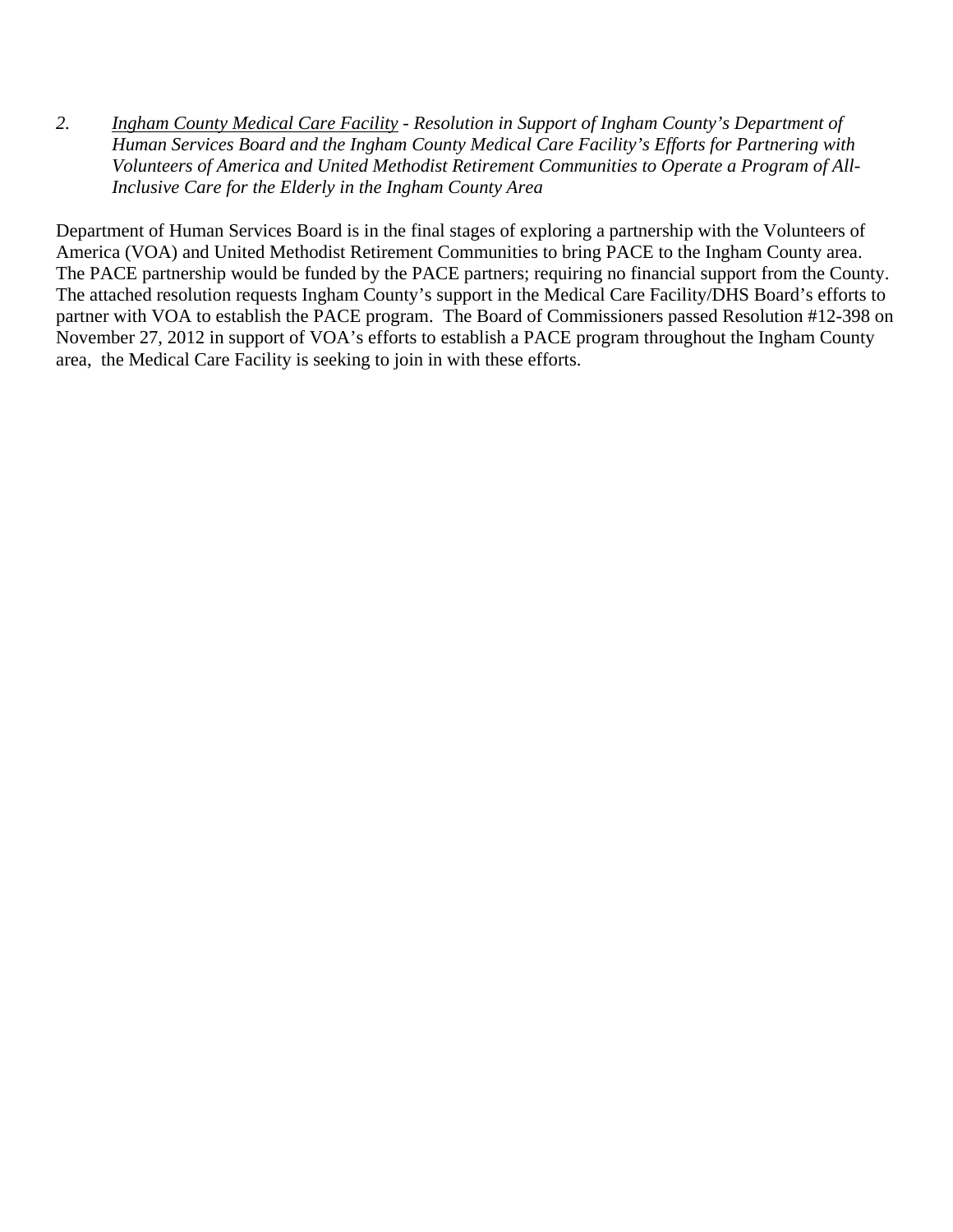*2. Ingham County Medical Care Facility - Resolution in Support of Ingham County's Department of Human Services Board and the Ingham County Medical Care Facility's Efforts for Partnering with Volunteers of America and United Methodist Retirement Communities to Operate a Program of All-Inclusive Care for the Elderly in the Ingham County Area* 

Department of Human Services Board is in the final stages of exploring a partnership with the Volunteers of America (VOA) and United Methodist Retirement Communities to bring PACE to the Ingham County area. The PACE partnership would be funded by the PACE partners; requiring no financial support from the County. The attached resolution requests Ingham County's support in the Medical Care Facility/DHS Board's efforts to partner with VOA to establish the PACE program. The Board of Commissioners passed Resolution #12-398 on November 27, 2012 in support of VOA's efforts to establish a PACE program throughout the Ingham County area, the Medical Care Facility is seeking to join in with these efforts.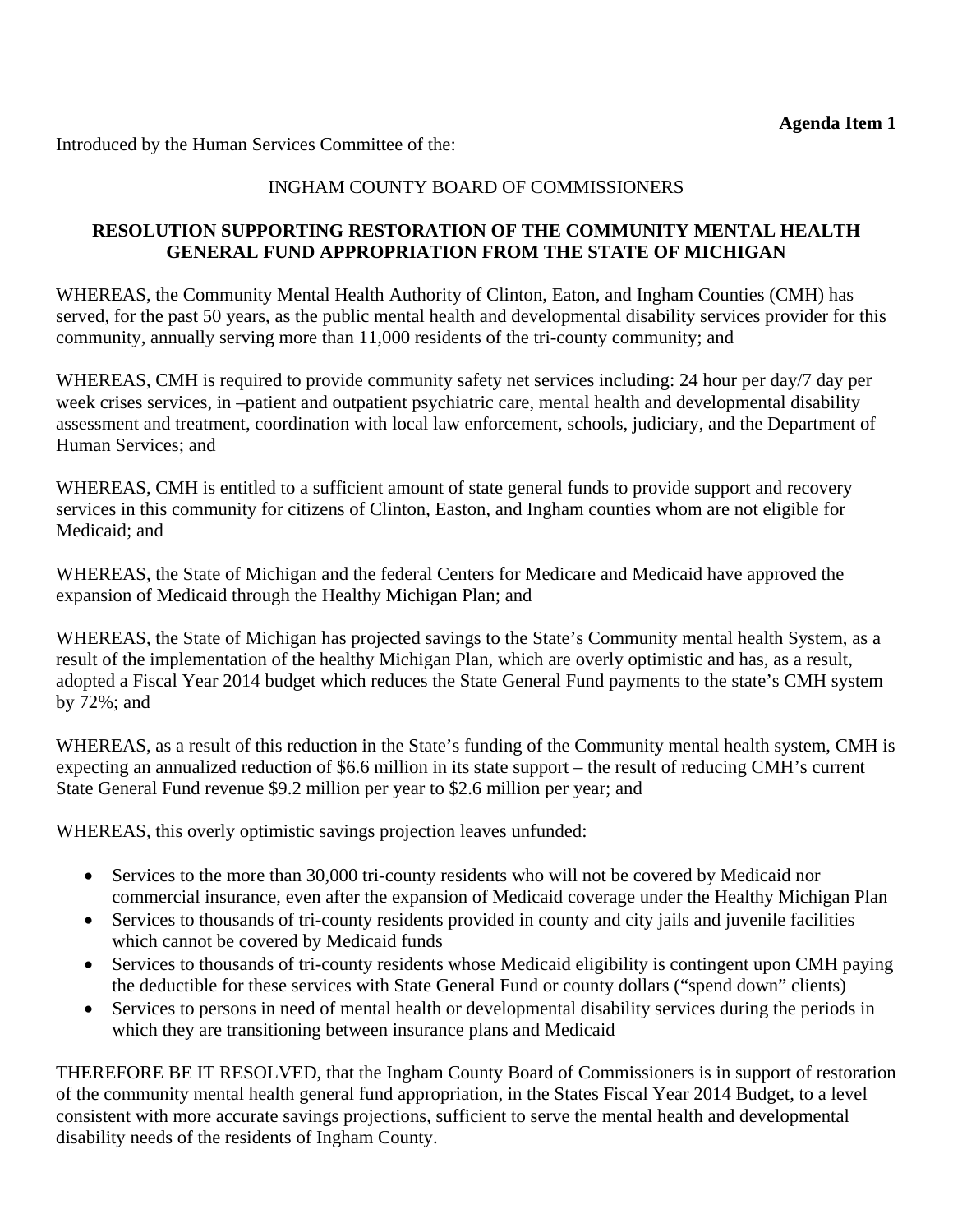<span id="page-7-0"></span>Introduced by the Human Services Committee of the:

# INGHAM COUNTY BOARD OF COMMISSIONERS

# **RESOLUTION SUPPORTING RESTORATION OF THE COMMUNITY MENTAL HEALTH GENERAL FUND APPROPRIATION FROM THE STATE OF MICHIGAN**

WHEREAS, the Community Mental Health Authority of Clinton, Eaton, and Ingham Counties (CMH) has served, for the past 50 years, as the public mental health and developmental disability services provider for this community, annually serving more than 11,000 residents of the tri-county community; and

WHEREAS, CMH is required to provide community safety net services including: 24 hour per day/7 day per week crises services, in –patient and outpatient psychiatric care, mental health and developmental disability assessment and treatment, coordination with local law enforcement, schools, judiciary, and the Department of Human Services; and

WHEREAS, CMH is entitled to a sufficient amount of state general funds to provide support and recovery services in this community for citizens of Clinton, Easton, and Ingham counties whom are not eligible for Medicaid; and

WHEREAS, the State of Michigan and the federal Centers for Medicare and Medicaid have approved the expansion of Medicaid through the Healthy Michigan Plan; and

WHEREAS, the State of Michigan has projected savings to the State's Community mental health System, as a result of the implementation of the healthy Michigan Plan, which are overly optimistic and has, as a result, adopted a Fiscal Year 2014 budget which reduces the State General Fund payments to the state's CMH system by 72%; and

WHEREAS, as a result of this reduction in the State's funding of the Community mental health system, CMH is expecting an annualized reduction of \$6.6 million in its state support – the result of reducing CMH's current State General Fund revenue \$9.2 million per year to \$2.6 million per year; and

WHEREAS, this overly optimistic savings projection leaves unfunded:

- Services to the more than 30,000 tri-county residents who will not be covered by Medicaid nor commercial insurance, even after the expansion of Medicaid coverage under the Healthy Michigan Plan
- Services to thousands of tri-county residents provided in county and city jails and juvenile facilities which cannot be covered by Medicaid funds
- Services to thousands of tri-county residents whose Medicaid eligibility is contingent upon CMH paying the deductible for these services with State General Fund or county dollars ("spend down" clients)
- Services to persons in need of mental health or developmental disability services during the periods in which they are transitioning between insurance plans and Medicaid

THEREFORE BE IT RESOLVED, that the Ingham County Board of Commissioners is in support of restoration of the community mental health general fund appropriation, in the States Fiscal Year 2014 Budget, to a level consistent with more accurate savings projections, sufficient to serve the mental health and developmental disability needs of the residents of Ingham County.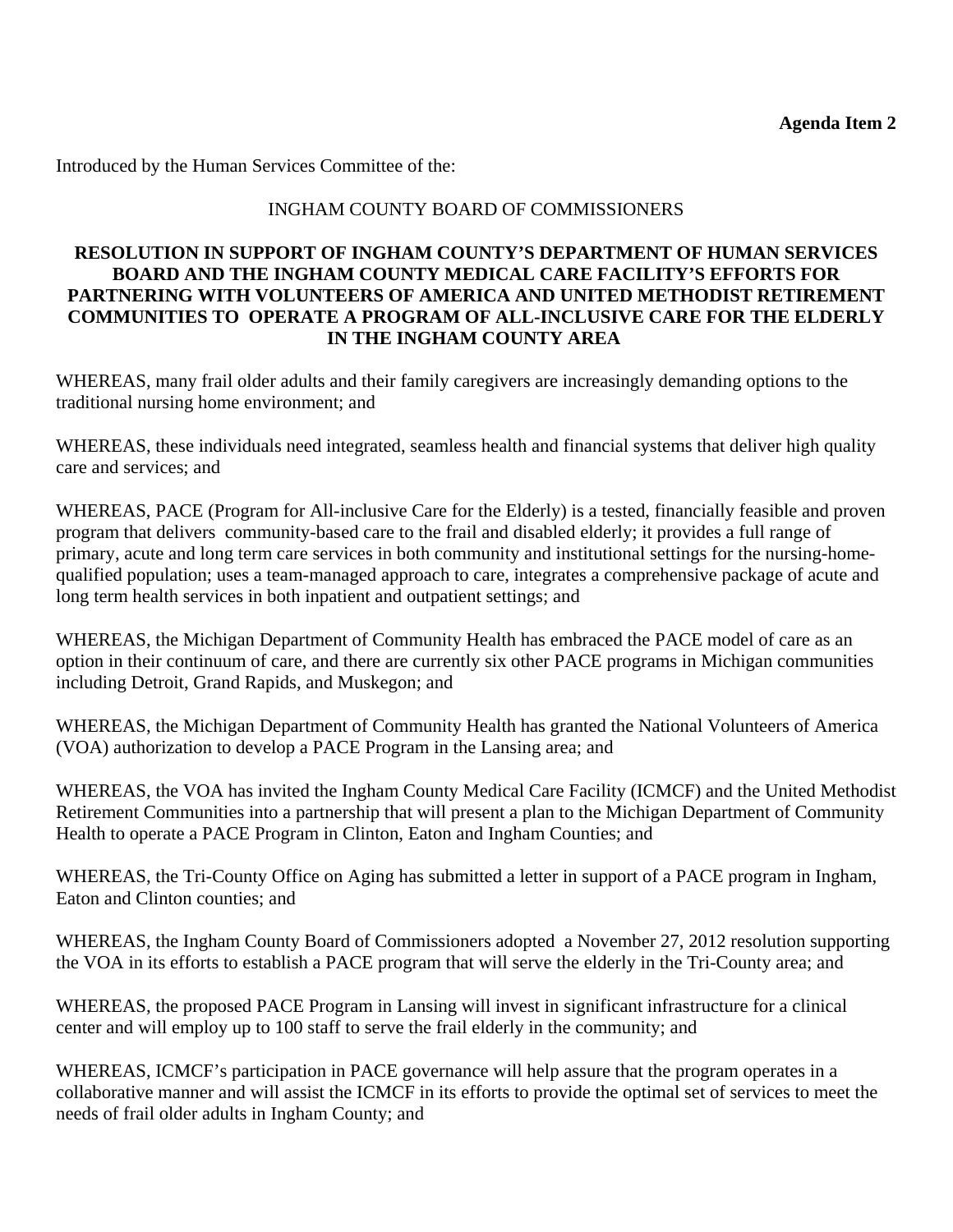<span id="page-8-0"></span>Introduced by the Human Services Committee of the:

### INGHAM COUNTY BOARD OF COMMISSIONERS

### **RESOLUTION IN SUPPORT OF INGHAM COUNTY'S DEPARTMENT OF HUMAN SERVICES BOARD AND THE INGHAM COUNTY MEDICAL CARE FACILITY'S EFFORTS FOR PARTNERING WITH VOLUNTEERS OF AMERICA AND UNITED METHODIST RETIREMENT COMMUNITIES TO OPERATE A PROGRAM OF ALL-INCLUSIVE CARE FOR THE ELDERLY IN THE INGHAM COUNTY AREA**

WHEREAS, many frail older adults and their family caregivers are increasingly demanding options to the traditional nursing home environment; and

WHEREAS, these individuals need integrated, seamless health and financial systems that deliver high quality care and services; and

WHEREAS, PACE (Program for All-inclusive Care for the Elderly) is a tested, financially feasible and proven program that delivers community-based care to the frail and disabled elderly; it provides a full range of primary, acute and long term care services in both community and institutional settings for the nursing-homequalified population; uses a team-managed approach to care, integrates a comprehensive package of acute and long term health services in both inpatient and outpatient settings; and

WHEREAS, the Michigan Department of Community Health has embraced the PACE model of care as an option in their continuum of care, and there are currently six other PACE programs in Michigan communities including Detroit, Grand Rapids, and Muskegon; and

WHEREAS, the Michigan Department of Community Health has granted the National Volunteers of America (VOA) authorization to develop a PACE Program in the Lansing area; and

WHEREAS, the VOA has invited the Ingham County Medical Care Facility (ICMCF) and the United Methodist Retirement Communities into a partnership that will present a plan to the Michigan Department of Community Health to operate a PACE Program in Clinton, Eaton and Ingham Counties; and

WHEREAS, the Tri-County Office on Aging has submitted a letter in support of a PACE program in Ingham, Eaton and Clinton counties; and

WHEREAS, the Ingham County Board of Commissioners adopted a November 27, 2012 resolution supporting the VOA in its efforts to establish a PACE program that will serve the elderly in the Tri-County area; and

WHEREAS, the proposed PACE Program in Lansing will invest in significant infrastructure for a clinical center and will employ up to 100 staff to serve the frail elderly in the community; and

WHEREAS, ICMCF's participation in PACE governance will help assure that the program operates in a collaborative manner and will assist the ICMCF in its efforts to provide the optimal set of services to meet the needs of frail older adults in Ingham County; and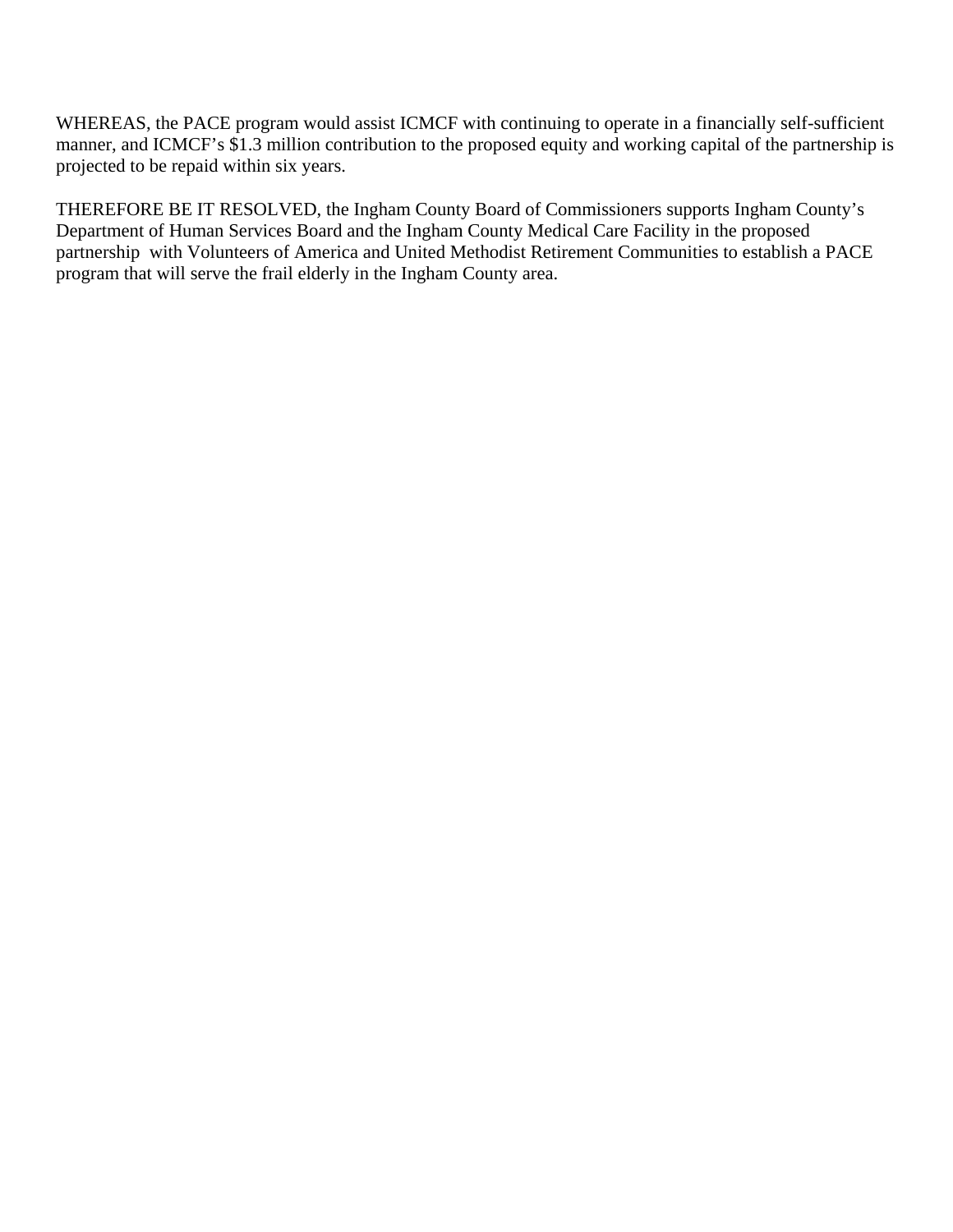WHEREAS, the PACE program would assist ICMCF with continuing to operate in a financially self-sufficient manner, and ICMCF's \$1.3 million contribution to the proposed equity and working capital of the partnership is projected to be repaid within six years.

THEREFORE BE IT RESOLVED, the Ingham County Board of Commissioners supports Ingham County's Department of Human Services Board and the Ingham County Medical Care Facility in the proposed partnership with Volunteers of America and United Methodist Retirement Communities to establish a PACE program that will serve the frail elderly in the Ingham County area.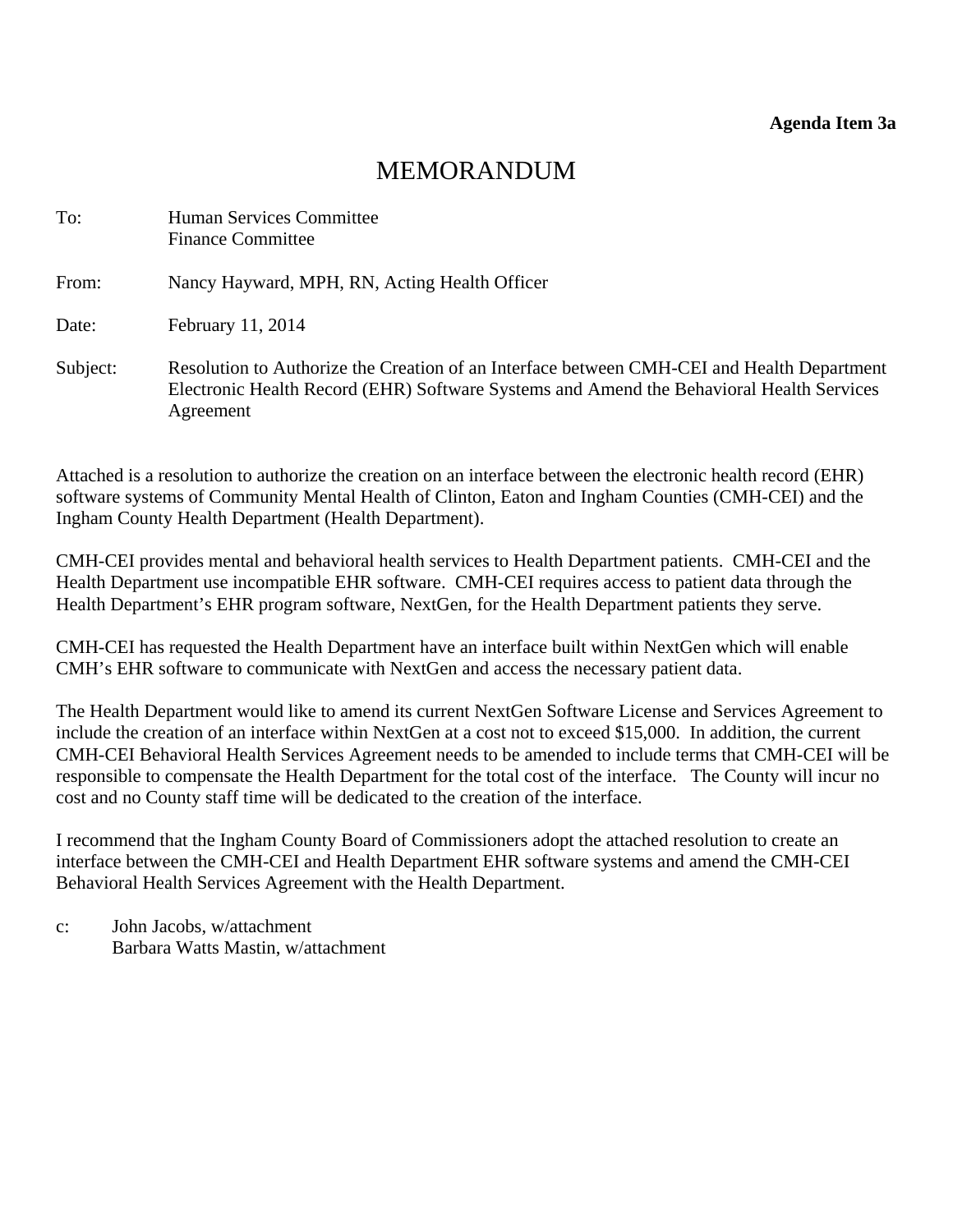# MEMORANDUM

<span id="page-10-0"></span>

| To:      | Human Services Committee<br><b>Finance Committee</b>                                                                                                                                                |
|----------|-----------------------------------------------------------------------------------------------------------------------------------------------------------------------------------------------------|
| From:    | Nancy Hayward, MPH, RN, Acting Health Officer                                                                                                                                                       |
| Date:    | February 11, 2014                                                                                                                                                                                   |
| Subject: | Resolution to Authorize the Creation of an Interface between CMH-CEI and Health Department<br>Electronic Health Record (EHR) Software Systems and Amend the Behavioral Health Services<br>Agreement |

Attached is a resolution to authorize the creation on an interface between the electronic health record (EHR) software systems of Community Mental Health of Clinton, Eaton and Ingham Counties (CMH-CEI) and the Ingham County Health Department (Health Department).

CMH-CEI provides mental and behavioral health services to Health Department patients. CMH-CEI and the Health Department use incompatible EHR software. CMH-CEI requires access to patient data through the Health Department's EHR program software, NextGen, for the Health Department patients they serve.

CMH-CEI has requested the Health Department have an interface built within NextGen which will enable CMH's EHR software to communicate with NextGen and access the necessary patient data.

The Health Department would like to amend its current NextGen Software License and Services Agreement to include the creation of an interface within NextGen at a cost not to exceed \$15,000. In addition, the current CMH-CEI Behavioral Health Services Agreement needs to be amended to include terms that CMH-CEI will be responsible to compensate the Health Department for the total cost of the interface. The County will incur no cost and no County staff time will be dedicated to the creation of the interface.

I recommend that the Ingham County Board of Commissioners adopt the attached resolution to create an interface between the CMH-CEI and Health Department EHR software systems and amend the CMH-CEI Behavioral Health Services Agreement with the Health Department.

c: John Jacobs, w/attachment Barbara Watts Mastin, w/attachment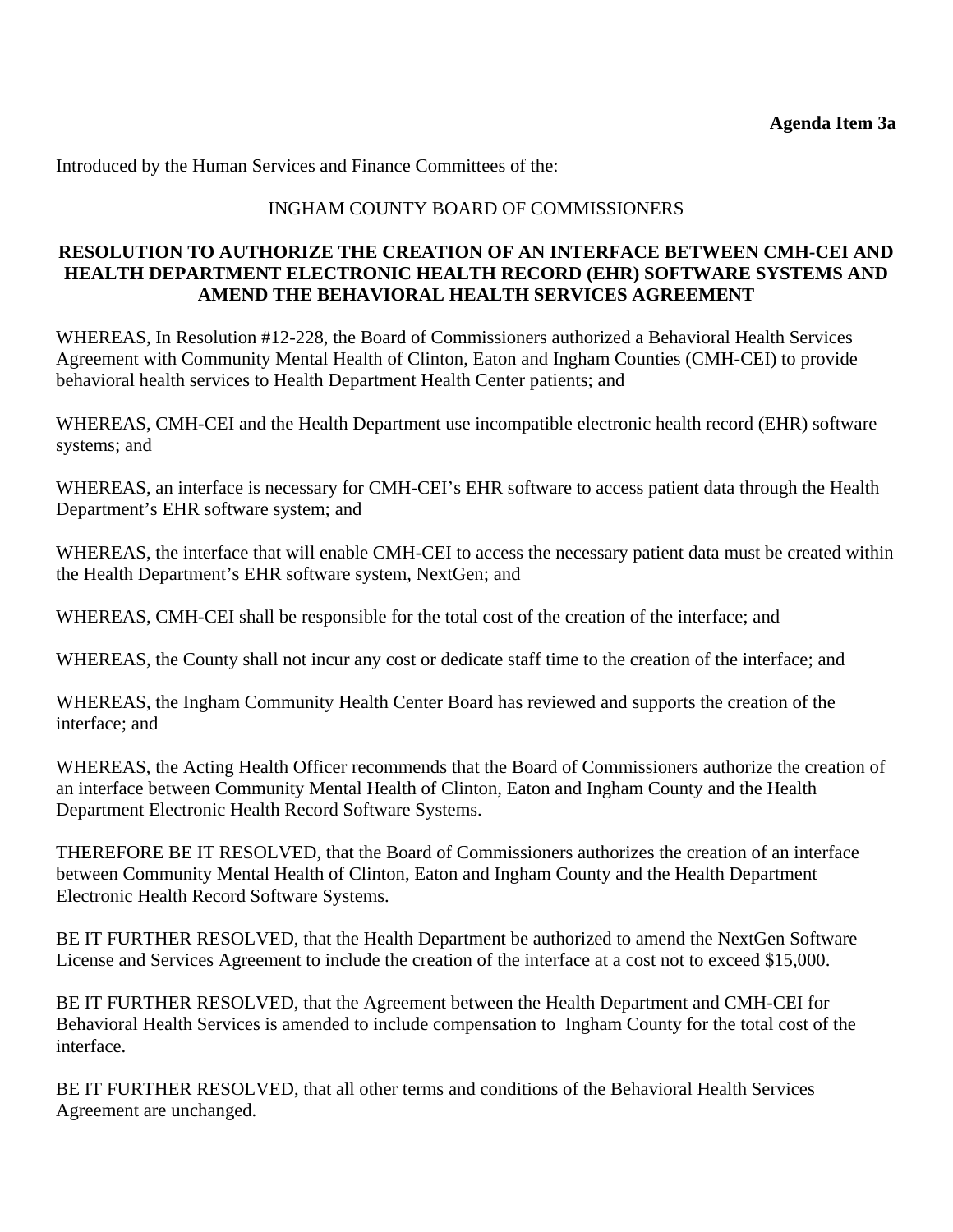Introduced by the Human Services and Finance Committees of the:

# INGHAM COUNTY BOARD OF COMMISSIONERS

# **RESOLUTION TO AUTHORIZE THE CREATION OF AN INTERFACE BETWEEN CMH-CEI AND HEALTH DEPARTMENT ELECTRONIC HEALTH RECORD (EHR) SOFTWARE SYSTEMS AND AMEND THE BEHAVIORAL HEALTH SERVICES AGREEMENT**

WHEREAS, In Resolution #12-228, the Board of Commissioners authorized a Behavioral Health Services Agreement with Community Mental Health of Clinton, Eaton and Ingham Counties (CMH-CEI) to provide behavioral health services to Health Department Health Center patients; and

WHEREAS, CMH-CEI and the Health Department use incompatible electronic health record (EHR) software systems; and

WHEREAS, an interface is necessary for CMH-CEI's EHR software to access patient data through the Health Department's EHR software system; and

WHEREAS, the interface that will enable CMH-CEI to access the necessary patient data must be created within the Health Department's EHR software system, NextGen; and

WHEREAS, CMH-CEI shall be responsible for the total cost of the creation of the interface; and

WHEREAS, the County shall not incur any cost or dedicate staff time to the creation of the interface; and

WHEREAS, the Ingham Community Health Center Board has reviewed and supports the creation of the interface; and

WHEREAS, the Acting Health Officer recommends that the Board of Commissioners authorize the creation of an interface between Community Mental Health of Clinton, Eaton and Ingham County and the Health Department Electronic Health Record Software Systems.

THEREFORE BE IT RESOLVED, that the Board of Commissioners authorizes the creation of an interface between Community Mental Health of Clinton, Eaton and Ingham County and the Health Department Electronic Health Record Software Systems.

BE IT FURTHER RESOLVED, that the Health Department be authorized to amend the NextGen Software License and Services Agreement to include the creation of the interface at a cost not to exceed \$15,000.

BE IT FURTHER RESOLVED, that the Agreement between the Health Department and CMH-CEI for Behavioral Health Services is amended to include compensation to Ingham County for the total cost of the interface.

BE IT FURTHER RESOLVED, that all other terms and conditions of the Behavioral Health Services Agreement are unchanged.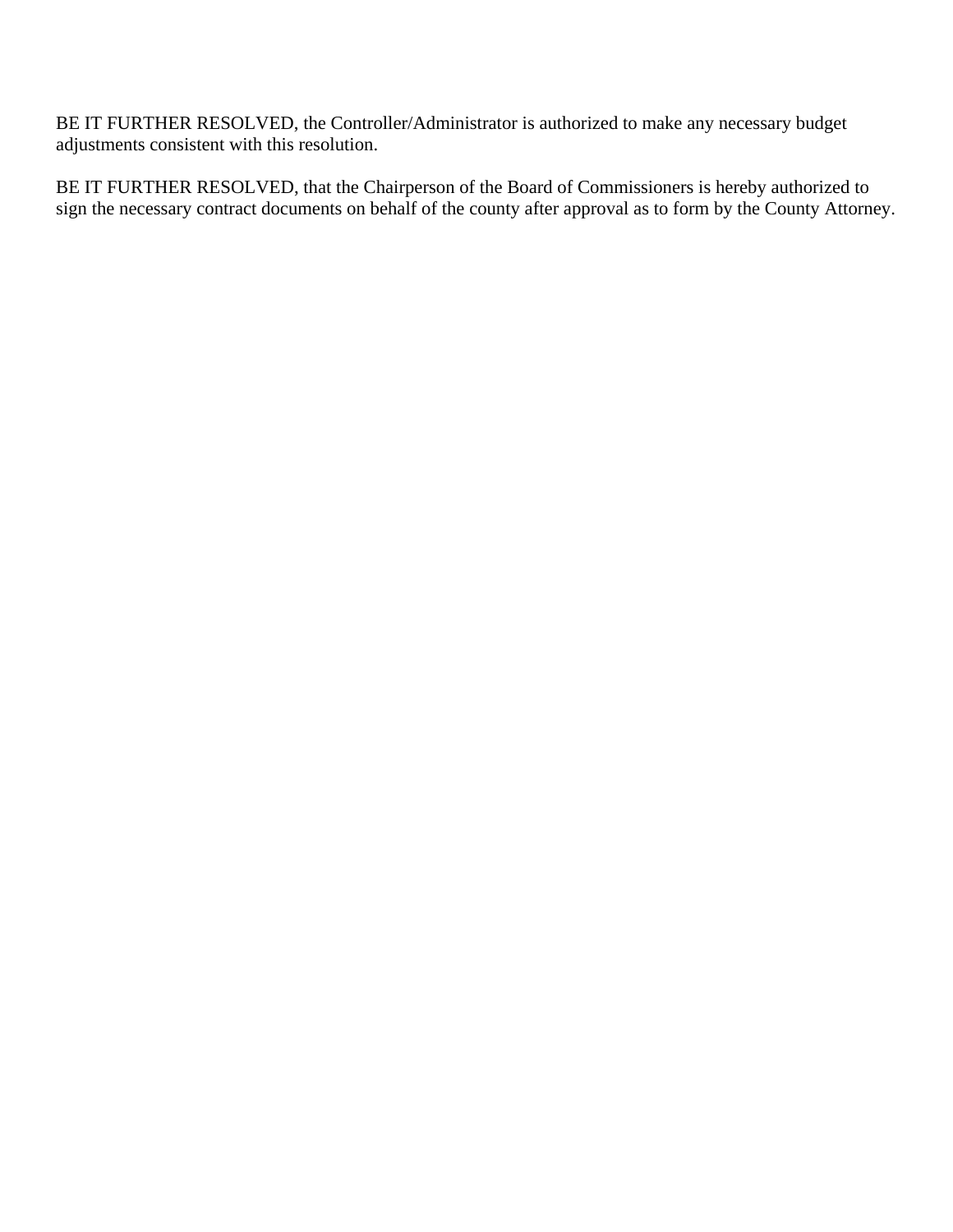BE IT FURTHER RESOLVED, the Controller/Administrator is authorized to make any necessary budget adjustments consistent with this resolution.

BE IT FURTHER RESOLVED, that the Chairperson of the Board of Commissioners is hereby authorized to sign the necessary contract documents on behalf of the county after approval as to form by the County Attorney.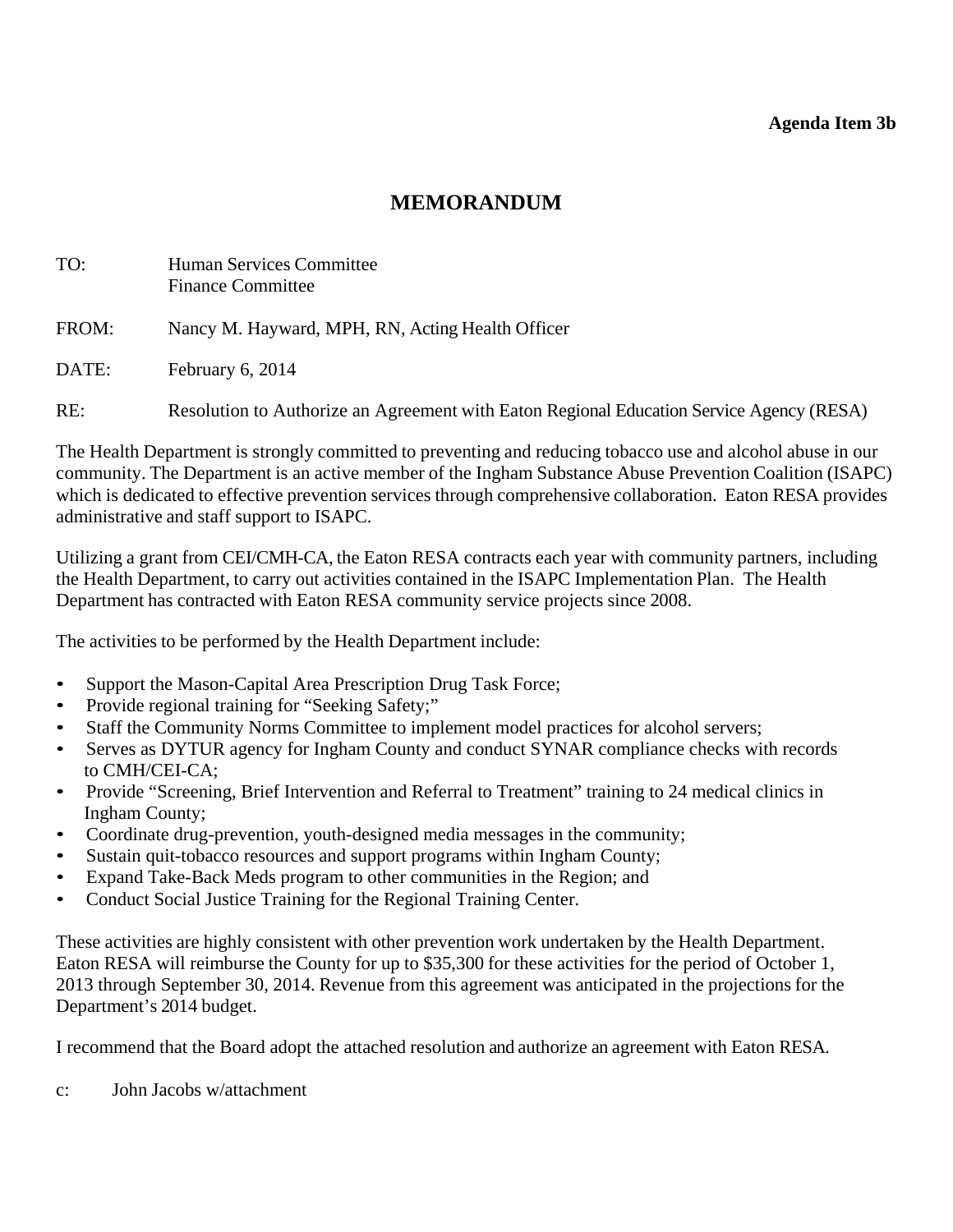### **Agenda Item 3b**

# **MEMORANDUM**

<span id="page-13-0"></span>

| TO:   | Human Services Committee<br><b>Finance Committee</b>                                     |
|-------|------------------------------------------------------------------------------------------|
| FROM: | Nancy M. Hayward, MPH, RN, Acting Health Officer                                         |
| DATE: | February $6, 2014$                                                                       |
| RE:   | Resolution to Authorize an Agreement with Eaton Regional Education Service Agency (RESA) |

The Health Department is strongly committed to preventing and reducing tobacco use and alcohol abuse in our community. The Department is an active member of the Ingham Substance Abuse Prevention Coalition (ISAPC) which is dedicated to effective prevention services through comprehensive collaboration. Eaton RESA provides administrative and staff support to ISAPC.

Utilizing a grant from CEI/CMH-CA, the Eaton RESA contracts each year with community partners, including the Health Department, to carry out activities contained in the ISAPC Implementation Plan. The Health Department has contracted with Eaton RESA community service projects since 2008.

The activities to be performed by the Health Department include:

- Support the Mason-Capital Area Prescription Drug Task Force;
- Provide regional training for "Seeking Safety;"
- Staff the Community Norms Committee to implement model practices for alcohol servers;
- Serves as DYTUR agency for Ingham County and conduct SYNAR compliance checks with records to CMH/CEI-CA;
- Provide "Screening, Brief Intervention and Referral to Treatment" training to 24 medical clinics in Ingham County;
- Coordinate drug-prevention, youth-designed media messages in the community;
- Sustain quit-tobacco resources and support programs within Ingham County;
- Expand Take-Back Meds program to other communities in the Region; and
- Conduct Social Justice Training for the Regional Training Center.

These activities are highly consistent with other prevention work undertaken by the Health Department. Eaton RESA will reimburse the County for up to \$35,300 for these activities for the period of October 1, 2013 through September 30, 2014. Revenue from this agreement was anticipated in the projections for the Department's 2014 budget.

I recommend that the Board adopt the attached resolution and authorize an agreement with Eaton RESA.

c: John Jacobs w/attachment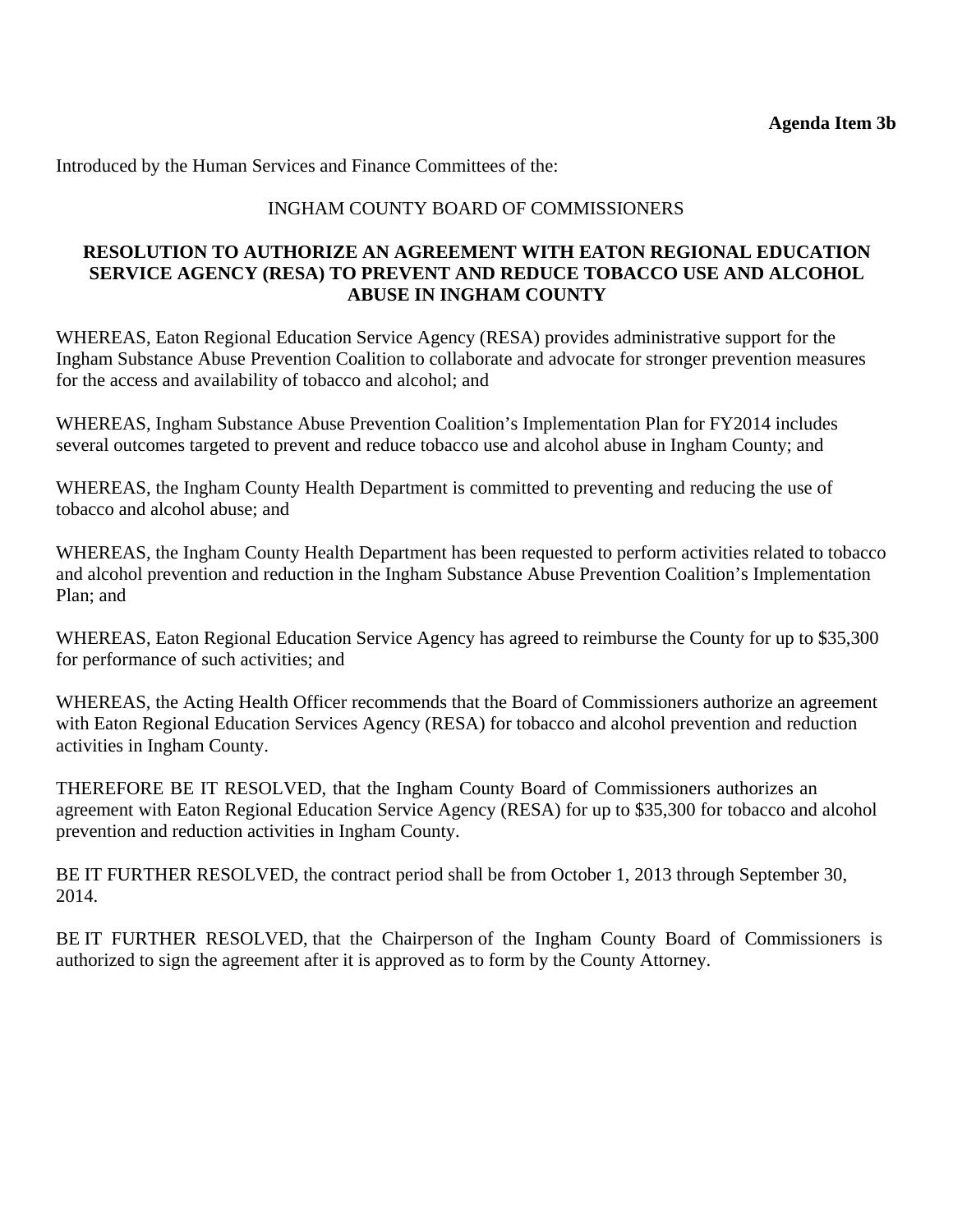Introduced by the Human Services and Finance Committees of the:

### INGHAM COUNTY BOARD OF COMMISSIONERS

### **RESOLUTION TO AUTHORIZE AN AGREEMENT WITH EATON REGIONAL EDUCATION SERVICE AGENCY (RESA) TO PREVENT AND REDUCE TOBACCO USE AND ALCOHOL ABUSE IN INGHAM COUNTY**

WHEREAS, Eaton Regional Education Service Agency (RESA) provides administrative support for the Ingham Substance Abuse Prevention Coalition to collaborate and advocate for stronger prevention measures for the access and availability of tobacco and alcohol; and

WHEREAS, Ingham Substance Abuse Prevention Coalition's Implementation Plan for FY2014 includes several outcomes targeted to prevent and reduce tobacco use and alcohol abuse in Ingham County; and

WHEREAS, the Ingham County Health Department is committed to preventing and reducing the use of tobacco and alcohol abuse; and

WHEREAS, the Ingham County Health Department has been requested to perform activities related to tobacco and alcohol prevention and reduction in the Ingham Substance Abuse Prevention Coalition's Implementation Plan; and

WHEREAS, Eaton Regional Education Service Agency has agreed to reimburse the County for up to \$35,300 for performance of such activities; and

WHEREAS, the Acting Health Officer recommends that the Board of Commissioners authorize an agreement with Eaton Regional Education Services Agency (RESA) for tobacco and alcohol prevention and reduction activities in Ingham County.

THEREFORE BE IT RESOLVED, that the Ingham County Board of Commissioners authorizes an agreement with Eaton Regional Education Service Agency (RESA) for up to \$35,300 for tobacco and alcohol prevention and reduction activities in Ingham County.

BE IT FURTHER RESOLVED, the contract period shall be from October 1, 2013 through September 30, 2014.

BE IT FURTHER RESOLVED, that the Chairperson of the Ingham County Board of Commissioners is authorized to sign the agreement after it is approved as to form by the County Attorney.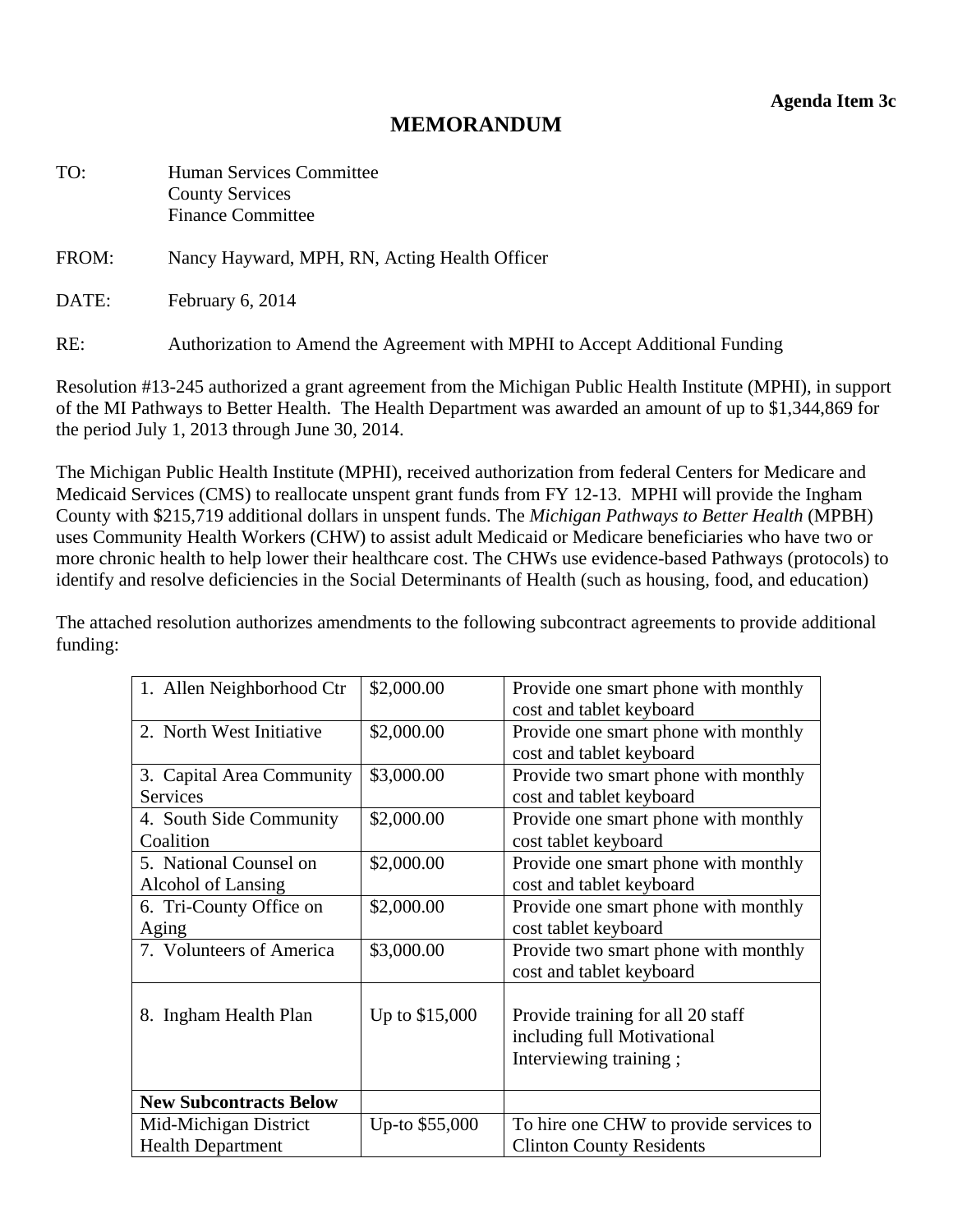# **MEMORANDUM**

<span id="page-15-0"></span>

| TO:   | <b>Human Services Committee</b><br><b>County Services</b><br><b>Finance Committee</b> |
|-------|---------------------------------------------------------------------------------------|
| FROM: | Nancy Hayward, MPH, RN, Acting Health Officer                                         |
| DATE: | February 6, 2014                                                                      |

RE: Authorization to Amend the Agreement with MPHI to Accept Additional Funding

Resolution #13-245 authorized a grant agreement from the Michigan Public Health Institute (MPHI), in support of the MI Pathways to Better Health. The Health Department was awarded an amount of up to \$1,344,869 for the period July 1, 2013 through June 30, 2014.

The Michigan Public Health Institute (MPHI), received authorization from federal Centers for Medicare and Medicaid Services (CMS) to reallocate unspent grant funds from FY 12-13. MPHI will provide the Ingham County with \$215,719 additional dollars in unspent funds. The *Michigan Pathways to Better Health* (MPBH) uses Community Health Workers (CHW) to assist adult Medicaid or Medicare beneficiaries who have two or more chronic health to help lower their healthcare cost. The CHWs use evidence-based Pathways (protocols) to identify and resolve deficiencies in the Social Determinants of Health (such as housing, food, and education)

The attached resolution authorizes amendments to the following subcontract agreements to provide additional funding:

| 1. Allen Neighborhood Ctr                    | \$2,000.00     | Provide one smart phone with monthly<br>cost and tablet keyboard                           |
|----------------------------------------------|----------------|--------------------------------------------------------------------------------------------|
| 2. North West Initiative                     | \$2,000.00     | Provide one smart phone with monthly<br>cost and tablet keyboard                           |
| 3. Capital Area Community<br><b>Services</b> | \$3,000.00     | Provide two smart phone with monthly<br>cost and tablet keyboard                           |
| 4. South Side Community<br>Coalition         | \$2,000.00     | Provide one smart phone with monthly<br>cost tablet keyboard                               |
| 5. National Counsel on<br>Alcohol of Lansing | \$2,000.00     | Provide one smart phone with monthly<br>cost and tablet keyboard                           |
| 6. Tri-County Office on<br>Aging             | \$2,000.00     | Provide one smart phone with monthly<br>cost tablet keyboard                               |
| 7. Volunteers of America                     | \$3,000.00     | Provide two smart phone with monthly<br>cost and tablet keyboard                           |
| 8. Ingham Health Plan                        | Up to \$15,000 | Provide training for all 20 staff<br>including full Motivational<br>Interviewing training; |
| <b>New Subcontracts Below</b>                |                |                                                                                            |
| Mid-Michigan District                        | Up-to \$55,000 | To hire one CHW to provide services to                                                     |
| <b>Health Department</b>                     |                | <b>Clinton County Residents</b>                                                            |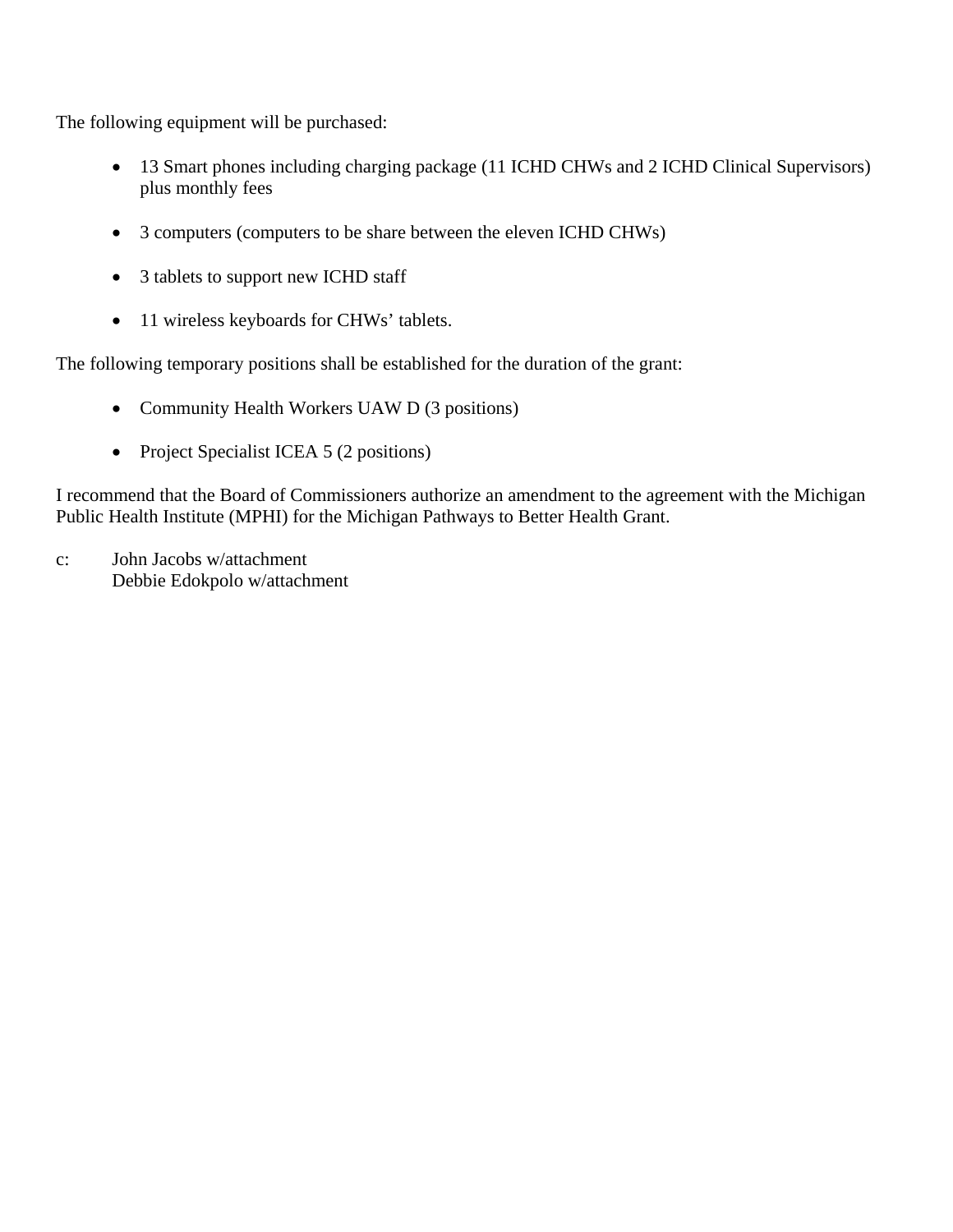The following equipment will be purchased:

- 13 Smart phones including charging package (11 ICHD CHWs and 2 ICHD Clinical Supervisors) plus monthly fees
- 3 computers (computers to be share between the eleven ICHD CHWs)
- 3 tablets to support new ICHD staff
- 11 wireless keyboards for CHWs' tablets.

The following temporary positions shall be established for the duration of the grant:

- Community Health Workers UAW D (3 positions)
- Project Specialist ICEA 5 (2 positions)

I recommend that the Board of Commissioners authorize an amendment to the agreement with the Michigan Public Health Institute (MPHI) for the Michigan Pathways to Better Health Grant.

c: John Jacobs w/attachment Debbie Edokpolo w/attachment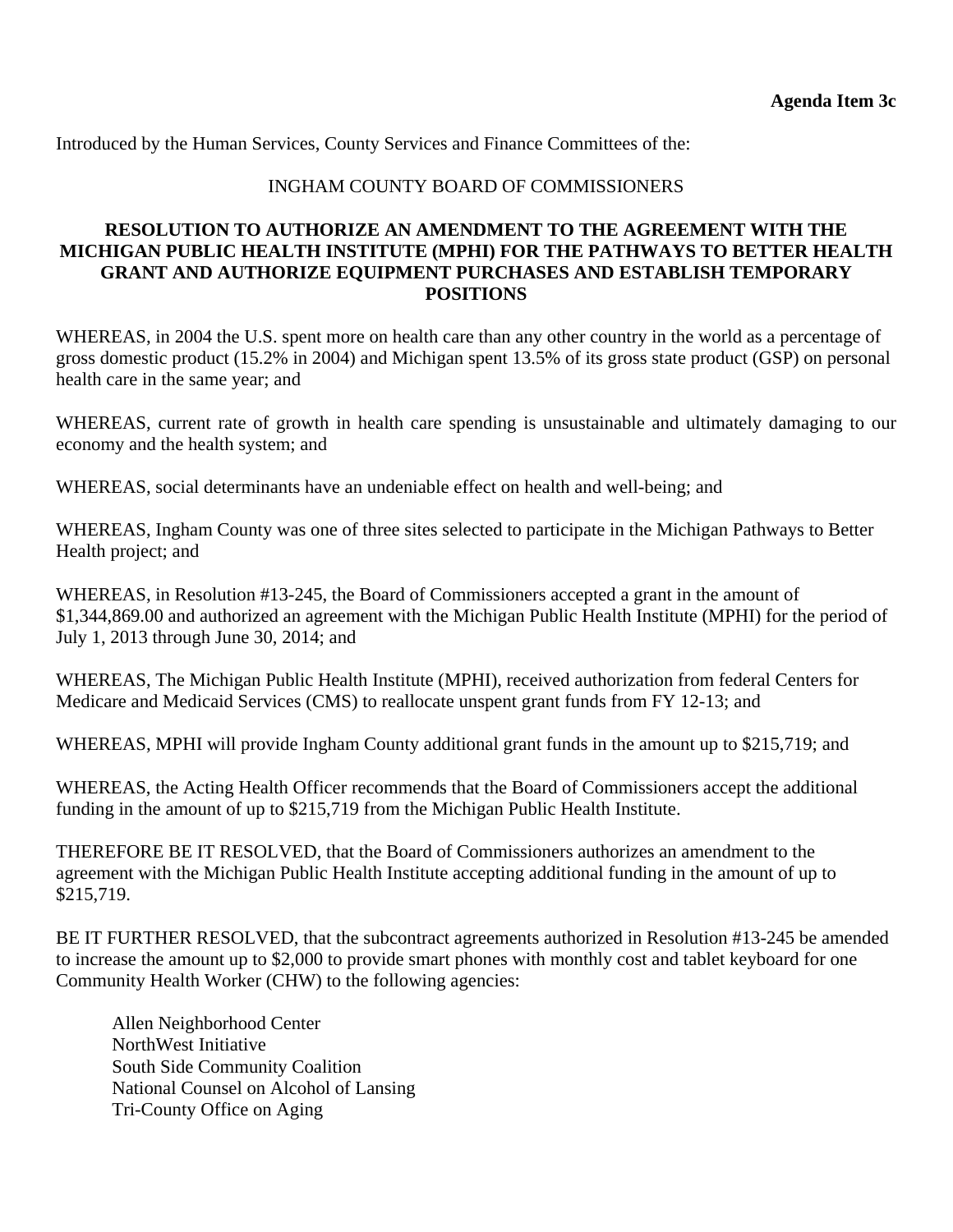Introduced by the Human Services, County Services and Finance Committees of the:

### INGHAM COUNTY BOARD OF COMMISSIONERS

### **RESOLUTION TO AUTHORIZE AN AMENDMENT TO THE AGREEMENT WITH THE MICHIGAN PUBLIC HEALTH INSTITUTE (MPHI) FOR THE PATHWAYS TO BETTER HEALTH GRANT AND AUTHORIZE EQUIPMENT PURCHASES AND ESTABLISH TEMPORARY POSITIONS**

WHEREAS, in 2004 the U.S. spent more on health care than any other country in the world as a percentage of gross domestic product (15.2% in 2004) and Michigan spent 13.5% of its gross state product (GSP) on personal health care in the same year; and

WHEREAS, current rate of growth in health care spending is unsustainable and ultimately damaging to our economy and the health system; and

WHEREAS, social determinants have an undeniable effect on health and well-being; and

WHEREAS, Ingham County was one of three sites selected to participate in the Michigan Pathways to Better Health project; and

WHEREAS, in Resolution #13-245, the Board of Commissioners accepted a grant in the amount of \$1,344,869.00 and authorized an agreement with the Michigan Public Health Institute (MPHI) for the period of July 1, 2013 through June 30, 2014; and

WHEREAS, The Michigan Public Health Institute (MPHI), received authorization from federal Centers for Medicare and Medicaid Services (CMS) to reallocate unspent grant funds from FY 12-13; and

WHEREAS, MPHI will provide Ingham County additional grant funds in the amount up to \$215,719; and

WHEREAS, the Acting Health Officer recommends that the Board of Commissioners accept the additional funding in the amount of up to \$215,719 from the Michigan Public Health Institute.

THEREFORE BE IT RESOLVED, that the Board of Commissioners authorizes an amendment to the agreement with the Michigan Public Health Institute accepting additional funding in the amount of up to \$215,719.

BE IT FURTHER RESOLVED, that the subcontract agreements authorized in Resolution #13-245 be amended to increase the amount up to \$2,000 to provide smart phones with monthly cost and tablet keyboard for one Community Health Worker (CHW) to the following agencies:

 Allen Neighborhood Center NorthWest Initiative South Side Community Coalition National Counsel on Alcohol of Lansing Tri-County Office on Aging